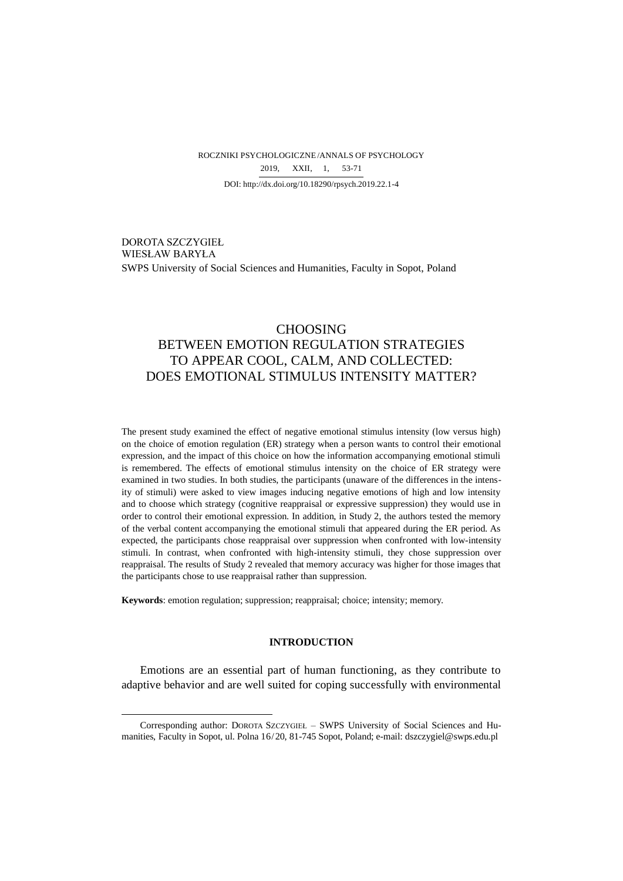ROCZNIKI PSYCHOLOGICZNE/ANNALS OF PSYCHOLOGY DOI: http://dx.doi.org/10.18290/rpsych.2019.22.1-4 2019, XXII, 1, 53-71

DOROTA SZCZYGIEŁ WIESŁAW BARYŁA SWPS University of Social Sciences and Humanities, Faculty in Sopot, Poland

# CHOOSING BETWEEN EMOTION REGULATION STRATEGIES TO APPEAR COOL, CALM, AND COLLECTED: DOES EMOTIONAL STIMULUS INTENSITY MATTER?

The present study examined the effect of negative emotional stimulus intensity (low versus high) on the choice of emotion regulation (ER) strategy when a person wants to control their emotional expression, and the impact of this choice on how the information accompanying emotional stimuli is remembered. The effects of emotional stimulus intensity on the choice of ER strategy were examined in two studies. In both studies, the participants (unaware of the differences in the intensity of stimuli) were asked to view images inducing negative emotions of high and low intensity and to choose which strategy (cognitive reappraisal or expressive suppression) they would use in order to control their emotional expression. In addition, in Study 2, the authors tested the memory of the verbal content accompanying the emotional stimuli that appeared during the ER period. As expected, the participants chose reappraisal over suppression when confronted with low-intensity stimuli. In contrast, when confronted with high-intensity stimuli, they chose suppression over reappraisal. The results of Study 2 revealed that memory accuracy was higher for those images that the participants chose to use reappraisal rather than suppression.

**Keywords**: emotion regulation; suppression; reappraisal; choice; intensity; memory.

# **INTRODUCTION**

Emotions are an essential part of human functioning, as they contribute to adaptive behavior and are well suited for coping successfully with environmental

Corresponding author: DOROTA SZCZYGIEŁ – SWPS University of Social Sciences and Humanities, Faculty in Sopot, ul. Polna 16/20, 81-745 Sopot, Poland; e-mail: dszczygiel@swps.edu.pl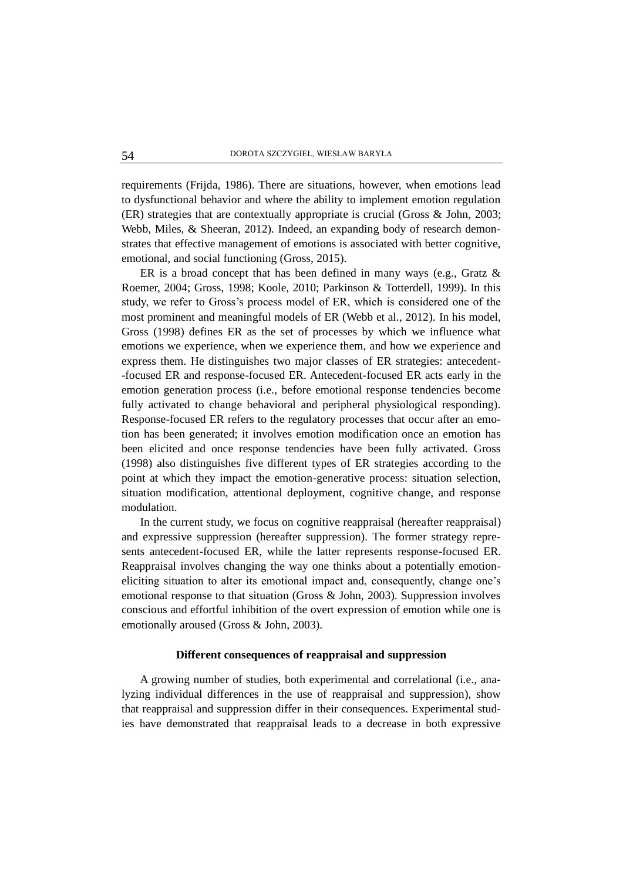requirements (Frijda, 1986). There are situations, however, when emotions lead to dysfunctional behavior and where the ability to implement emotion regulation (ER) strategies that are contextually appropriate is crucial (Gross & John, 2003; Webb, Miles, & Sheeran, 2012). Indeed, an expanding body of research demonstrates that effective management of emotions is associated with better cognitive, emotional, and social functioning (Gross, 2015).

ER is a broad concept that has been defined in many ways (e.g., Gratz  $\&$ Roemer, 2004; Gross, 1998; Koole, 2010; Parkinson & Totterdell, 1999). In this study, we refer to Gross's process model of ER, which is considered one of the most prominent and meaningful models of ER (Webb et al., 2012). In his model, Gross (1998) defines ER as the set of processes by which we influence what emotions we experience, when we experience them, and how we experience and express them. He distinguishes two major classes of ER strategies: antecedent- -focused ER and response-focused ER. Antecedent-focused ER acts early in the emotion generation process (i.e., before emotional response tendencies become fully activated to change behavioral and peripheral physiological responding). Response-focused ER refers to the regulatory processes that occur after an emotion has been generated; it involves emotion modification once an emotion has been elicited and once response tendencies have been fully activated. Gross (1998) also distinguishes five different types of ER strategies according to the point at which they impact the emotion-generative process: situation selection, situation modification, attentional deployment, cognitive change, and response modulation.

In the current study, we focus on cognitive reappraisal (hereafter reappraisal) and expressive suppression (hereafter suppression). The former strategy represents antecedent-focused ER, while the latter represents response-focused ER. Reappraisal involves changing the way one thinks about a potentially emotioneliciting situation to alter its emotional impact and, consequently, change one's emotional response to that situation (Gross & John, 2003). Suppression involves conscious and effortful inhibition of the overt expression of emotion while one is emotionally aroused (Gross & John, 2003).

# **Different consequences of reappraisal and suppression**

A growing number of studies, both experimental and correlational (i.e., analyzing individual differences in the use of reappraisal and suppression), show that reappraisal and suppression differ in their consequences. Experimental studies have demonstrated that reappraisal leads to a decrease in both expressive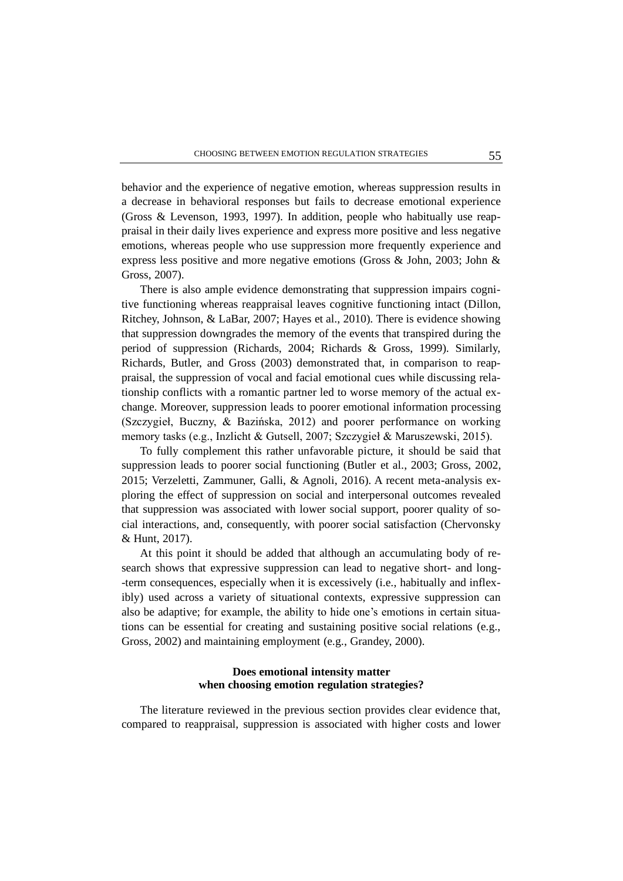behavior and the experience of negative emotion, whereas suppression results in a decrease in behavioral responses but fails to decrease emotional experience (Gross & Levenson, 1993, 1997). In addition, people who habitually use reappraisal in their daily lives experience and express more positive and less negative emotions, whereas people who use suppression more frequently experience and express less positive and more negative emotions (Gross & John, 2003; John & Gross, 2007).

There is also ample evidence demonstrating that suppression impairs cognitive functioning whereas reappraisal leaves cognitive functioning intact (Dillon, Ritchey, Johnson, & LaBar, 2007; Hayes et al., 2010). There is evidence showing that suppression downgrades the memory of the events that transpired during the period of suppression (Richards, 2004; Richards & Gross, 1999). Similarly, Richards, Butler, and Gross (2003) demonstrated that, in comparison to reappraisal, the suppression of vocal and facial emotional cues while discussing relationship conflicts with a romantic partner led to worse memory of the actual exchange. Moreover, suppression leads to poorer emotional information processing (Szczygieł, Buczny, & Bazińska, 2012) and poorer performance on working memory tasks (e.g., Inzlicht & Gutsell, 2007; Szczygieł & Maruszewski, 2015).

To fully complement this rather unfavorable picture, it should be said that suppression leads to poorer social functioning (Butler et al., 2003; Gross, 2002, 2015; Verzeletti, Zammuner, Galli, & Agnoli, 2016). A recent meta-analysis exploring the effect of suppression on social and interpersonal outcomes revealed that suppression was associated with lower social support, poorer quality of social interactions, and, consequently, with poorer social satisfaction (Chervonsky & Hunt, 2017).

At this point it should be added that although an accumulating body of research shows that expressive suppression can lead to negative short- and long- -term consequences, especially when it is excessively (i.e., habitually and inflexibly) used across a variety of situational contexts, expressive suppression can also be adaptive; for example, the ability to hide one's emotions in certain situations can be essential for creating and sustaining positive social relations (e.g., Gross, 2002) and maintaining employment (e.g., Grandey, 2000).

# **Does emotional intensity matter when choosing emotion regulation strategies?**

The literature reviewed in the previous section provides clear evidence that, compared to reappraisal, suppression is associated with higher costs and lower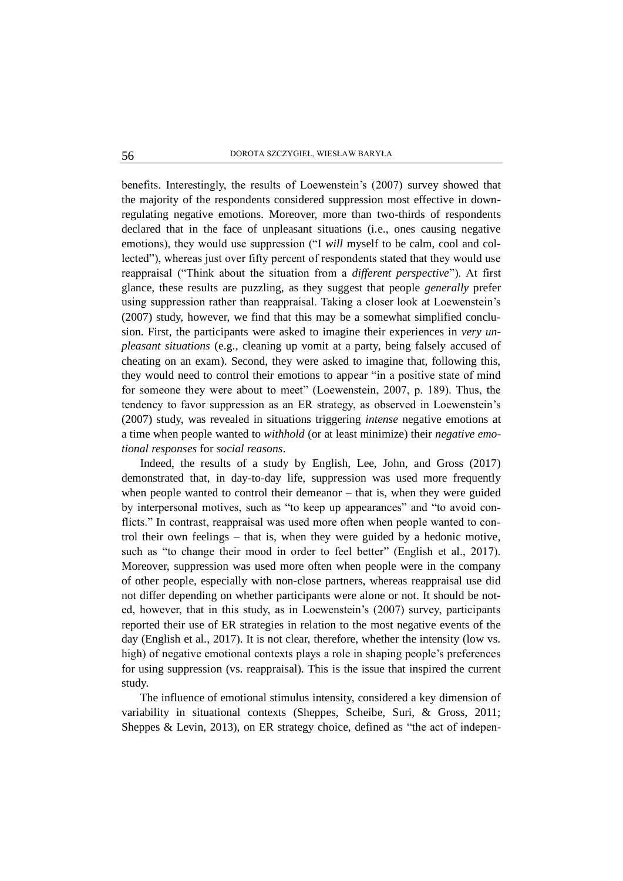benefits. Interestingly, the results of Loewenstein's (2007) survey showed that the majority of the respondents considered suppression most effective in downregulating negative emotions. Moreover, more than two-thirds of respondents declared that in the face of unpleasant situations (i.e., ones causing negative emotions), they would use suppression ("I *will* myself to be calm, cool and collected"), whereas just over fifty percent of respondents stated that they would use reappraisal ("Think about the situation from a *different perspective*"). At first glance, these results are puzzling, as they suggest that people *generally* prefer using suppression rather than reappraisal. Taking a closer look at Loewenstein's (2007) study, however, we find that this may be a somewhat simplified conclusion. First, the participants were asked to imagine their experiences in *very unpleasant situations* (e.g., cleaning up vomit at a party, being falsely accused of cheating on an exam). Second, they were asked to imagine that, following this, they would need to control their emotions to appear "in a positive state of mind for someone they were about to meet" (Loewenstein, 2007, p. 189). Thus, the tendency to favor suppression as an ER strategy, as observed in Loewenstein's (2007) study, was revealed in situations triggering *intense* negative emotions at a time when people wanted to *withhold* (or at least minimize) their *negative emotional responses* for *social reasons*.

Indeed, the results of a study by English, Lee, John, and Gross (2017) demonstrated that, in day-to-day life, suppression was used more frequently when people wanted to control their demeanor – that is, when they were guided by interpersonal motives, such as "to keep up appearances" and "to avoid conflicts." In contrast, reappraisal was used more often when people wanted to control their own feelings – that is, when they were guided by a hedonic motive, such as "to change their mood in order to feel better" (English et al., 2017). Moreover, suppression was used more often when people were in the company of other people, especially with non-close partners, whereas reappraisal use did not differ depending on whether participants were alone or not. It should be noted, however, that in this study, as in Loewenstein's (2007) survey, participants reported their use of ER strategies in relation to the most negative events of the day (English et al., 2017). It is not clear, therefore, whether the intensity (low vs. high) of negative emotional contexts plays a role in shaping people's preferences for using suppression (vs. reappraisal). This is the issue that inspired the current study.

The influence of emotional stimulus intensity, considered a key dimension of variability in situational contexts (Sheppes, Scheibe, Suri, & Gross, 2011; Sheppes & Levin, 2013), on ER strategy choice, defined as "the act of indepen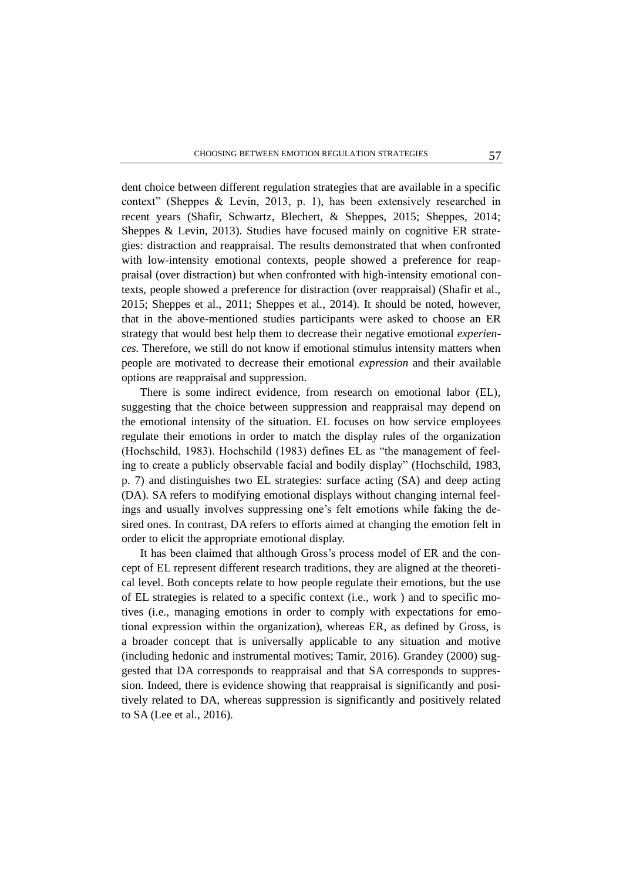dent choice between different regulation strategies that are available in a specific context" (Sheppes & Levin, 2013, p. 1), has been extensively researched in recent years (Shafir, Schwartz, Blechert, & Sheppes, 2015; Sheppes, 2014; Sheppes & Levin, 2013). Studies have focused mainly on cognitive ER strategies: distraction and reappraisal. The results demonstrated that when confronted with low-intensity emotional contexts, people showed a preference for reappraisal (over distraction) but when confronted with high-intensity emotional contexts, people showed a preference for distraction (over reappraisal) (Shafir et al., 2015; Sheppes et al., 2011; Sheppes et al., 2014). It should be noted, however, that in the above-mentioned studies participants were asked to choose an ER strategy that would best help them to decrease their negative emotional *experiences.* Therefore, we still do not know if emotional stimulus intensity matters when people are motivated to decrease their emotional *expression* and their available options are reappraisal and suppression.

There is some indirect evidence, from research on emotional labor (EL), suggesting that the choice between suppression and reappraisal may depend on the emotional intensity of the situation. EL focuses on how service employees regulate their emotions in order to match the display rules of the organization (Hochschild, 1983). Hochschild (1983) defines EL as "the management of feeling to create a publicly observable facial and bodily display" (Hochschild, 1983, p. 7) and distinguishes two EL strategies: surface acting (SA) and deep acting (DA). SA refers to modifying emotional displays without changing internal feelings and usually involves suppressing one's felt emotions while faking the desired ones. In contrast, DA refers to efforts aimed at changing the emotion felt in order to elicit the appropriate emotional display.

It has been claimed that although Gross's process model of ER and the concept of EL represent different research traditions, they are aligned at the theoretical level. Both concepts relate to how people regulate their emotions, but the use of EL strategies is related to a specific context (i.e., work ) and to specific motives (i.e., managing emotions in order to comply with expectations for emotional expression within the organization), whereas ER, as defined by Gross, is a broader concept that is universally applicable to any situation and motive (including hedonic and instrumental motives; Tamir, 2016). Grandey (2000) suggested that DA corresponds to reappraisal and that SA corresponds to suppression. Indeed, there is evidence showing that reappraisal is significantly and positively related to DA, whereas suppression is significantly and positively related to SA (Lee et al., 2016).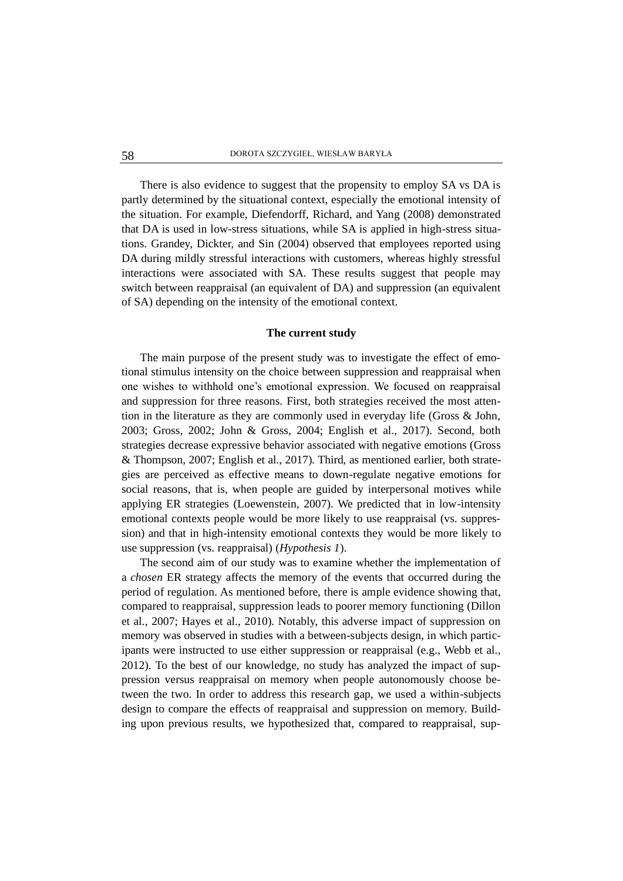There is also evidence to suggest that the propensity to employ SA vs DA is partly determined by the situational context, especially the emotional intensity of the situation. For example, Diefendorff, Richard, and Yang (2008) demonstrated that DA is used in low-stress situations, while SA is applied in high-stress situations. Grandey, Dickter, and Sin (2004) observed that employees reported using DA during mildly stressful interactions with customers, whereas highly stressful interactions were associated with SA. These results suggest that people may switch between reappraisal (an equivalent of DA) and suppression (an equivalent of SA) depending on the intensity of the emotional context.

### **The current study**

The main purpose of the present study was to investigate the effect of emotional stimulus intensity on the choice between suppression and reappraisal when one wishes to withhold one's emotional expression. We focused on reappraisal and suppression for three reasons. First, both strategies received the most attention in the literature as they are commonly used in everyday life (Gross & John, 2003; Gross, 2002; John & Gross, 2004; English et al., 2017). Second, both strategies decrease expressive behavior associated with negative emotions (Gross & Thompson, 2007; English et al., 2017). Third, as mentioned earlier, both strategies are perceived as effective means to down-regulate negative emotions for social reasons, that is, when people are guided by interpersonal motives while applying ER strategies (Loewenstein, 2007). We predicted that in low-intensity emotional contexts people would be more likely to use reappraisal (vs. suppression) and that in high-intensity emotional contexts they would be more likely to use suppression (vs. reappraisal) (*Hypothesis 1*).

The second aim of our study was to examine whether the implementation of a *chosen* ER strategy affects the memory of the events that occurred during the period of regulation. As mentioned before, there is ample evidence showing that, compared to reappraisal, suppression leads to poorer memory functioning (Dillon et al., 2007; Hayes et al., 2010). Notably, this adverse impact of suppression on memory was observed in studies with a between-subjects design, in which participants were instructed to use either suppression or reappraisal (e.g., Webb et al., 2012). To the best of our knowledge, no study has analyzed the impact of suppression versus reappraisal on memory when people autonomously choose between the two. In order to address this research gap, we used a within-subjects design to compare the effects of reappraisal and suppression on memory. Building upon previous results, we hypothesized that, compared to reappraisal, sup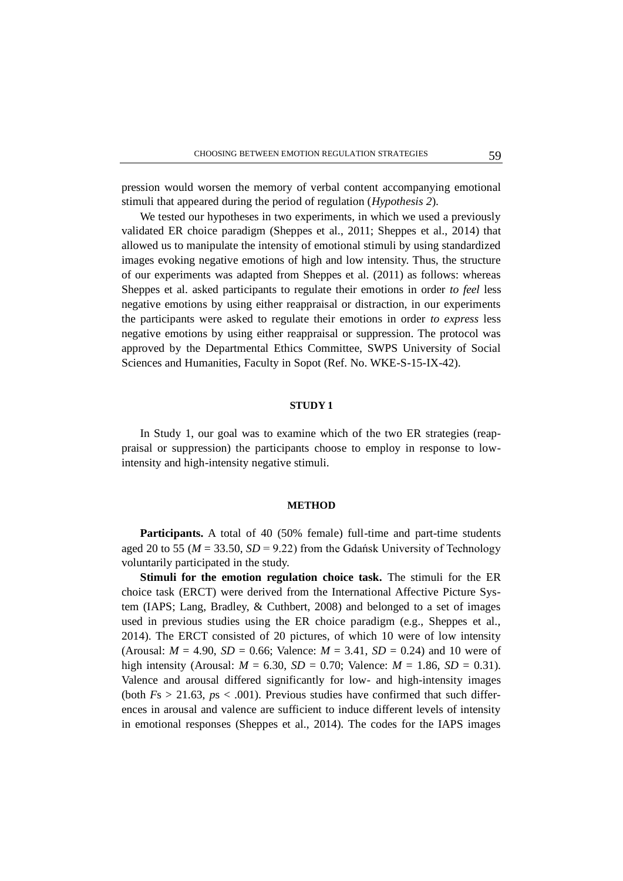pression would worsen the memory of verbal content accompanying emotional stimuli that appeared during the period of regulation (*Hypothesis 2*).

We tested our hypotheses in two experiments, in which we used a previously validated ER choice paradigm (Sheppes et al., 2011; Sheppes et al., 2014) that allowed us to manipulate the intensity of emotional stimuli by using standardized images evoking negative emotions of high and low intensity. Thus, the structure of our experiments was adapted from Sheppes et al. (2011) as follows: whereas Sheppes et al. asked participants to regulate their emotions in order *to feel* less negative emotions by using either reappraisal or distraction, in our experiments the participants were asked to regulate their emotions in order *to express* less negative emotions by using either reappraisal or suppression. The protocol was approved by the Departmental Ethics Committee, SWPS University of Social Sciences and Humanities, Faculty in Sopot (Ref. No. WKE-S-15-IX-42).

## **STUDY 1**

In Study 1, our goal was to examine which of the two ER strategies (reappraisal or suppression) the participants choose to employ in response to lowintensity and high-intensity negative stimuli.

#### **METHOD**

**Participants.** A total of 40 (50% female) full-time and part-time students aged 20 to 55 ( $M = 33.50$ ,  $SD = 9.22$ ) from the Gdańsk University of Technology voluntarily participated in the study.

**Stimuli for the emotion regulation choice task.** The stimuli for the ER choice task (ERCT) were derived from the International Affective Picture System (IAPS; Lang, Bradley, & Cuthbert, 2008) and belonged to a set of images used in previous studies using the ER choice paradigm (e.g., Sheppes et al., 2014). The ERCT consisted of 20 pictures, of which 10 were of low intensity (Arousal:  $M = 4.90$ ,  $SD = 0.66$ ; Valence:  $M = 3.41$ ,  $SD = 0.24$ ) and 10 were of high intensity (Arousal:  $M = 6.30$ ,  $SD = 0.70$ ; Valence:  $M = 1.86$ ,  $SD = 0.31$ ). Valence and arousal differed significantly for low- and high-intensity images (both  $Fs > 21.63$ ,  $ps < .001$ ). Previous studies have confirmed that such differences in arousal and valence are sufficient to induce different levels of intensity in emotional responses (Sheppes et al., 2014). The codes for the IAPS images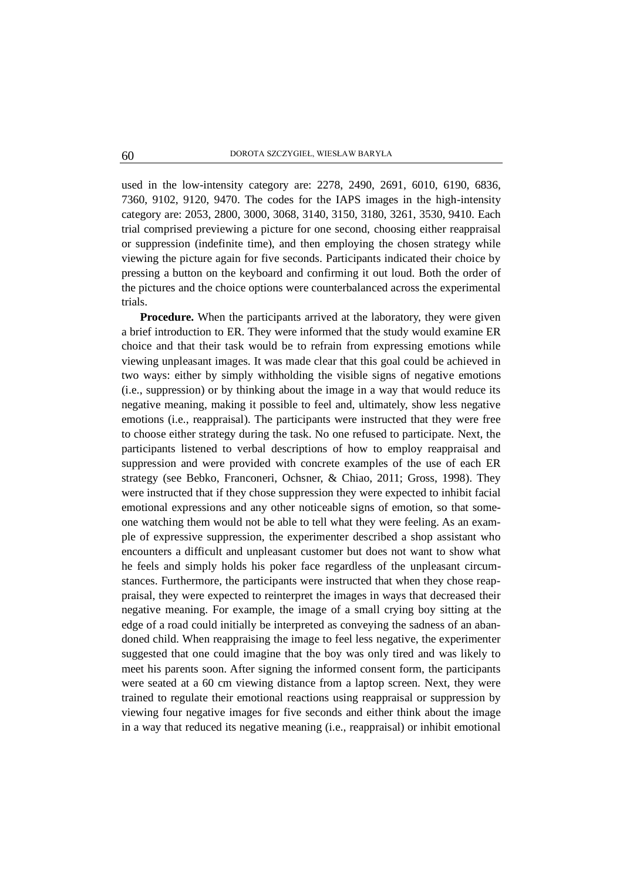used in the low-intensity category are: 2278, 2490, 2691, 6010, 6190, 6836, 7360, 9102, 9120, 9470. The codes for the IAPS images in the high-intensity category are: 2053, 2800, 3000, 3068, 3140, 3150, 3180, 3261, 3530, 9410. Each trial comprised previewing a picture for one second, choosing either reappraisal or suppression (indefinite time), and then employing the chosen strategy while viewing the picture again for five seconds. Participants indicated their choice by pressing a button on the keyboard and confirming it out loud. Both the order of the pictures and the choice options were counterbalanced across the experimental trials.

**Procedure.** When the participants arrived at the laboratory, they were given a brief introduction to ER. They were informed that the study would examine ER choice and that their task would be to refrain from expressing emotions while viewing unpleasant images. It was made clear that this goal could be achieved in two ways: either by simply withholding the visible signs of negative emotions (i.e., suppression) or by thinking about the image in a way that would reduce its negative meaning, making it possible to feel and, ultimately, show less negative emotions (i.e., reappraisal). The participants were instructed that they were free to choose either strategy during the task. No one refused to participate. Next, the participants listened to verbal descriptions of how to employ reappraisal and suppression and were provided with concrete examples of the use of each ER strategy (see Bebko, Franconeri, Ochsner, & Chiao, 2011; Gross, 1998). They were instructed that if they chose suppression they were expected to inhibit facial emotional expressions and any other noticeable signs of emotion, so that someone watching them would not be able to tell what they were feeling. As an example of expressive suppression, the experimenter described a shop assistant who encounters a difficult and unpleasant customer but does not want to show what he feels and simply holds his poker face regardless of the unpleasant circumstances. Furthermore, the participants were instructed that when they chose reappraisal, they were expected to reinterpret the images in ways that decreased their negative meaning. For example, the image of a small crying boy sitting at the edge of a road could initially be interpreted as conveying the sadness of an abandoned child. When reappraising the image to feel less negative, the experimenter suggested that one could imagine that the boy was only tired and was likely to meet his parents soon. After signing the informed consent form, the participants were seated at a 60 cm viewing distance from a laptop screen. Next, they were trained to regulate their emotional reactions using reappraisal or suppression by viewing four negative images for five seconds and either think about the image in a way that reduced its negative meaning (i.e., reappraisal) or inhibit emotional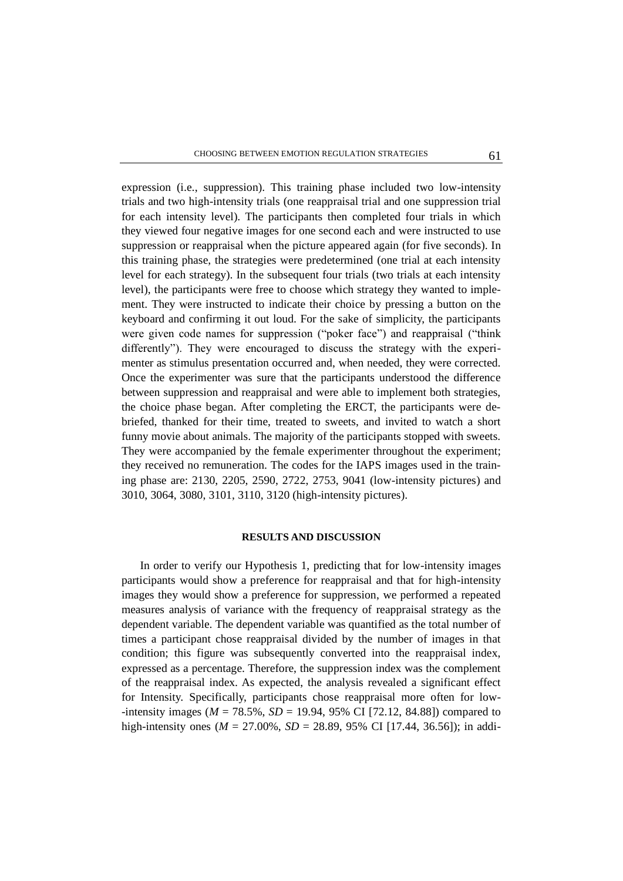expression (i.e., suppression). This training phase included two low-intensity trials and two high-intensity trials (one reappraisal trial and one suppression trial for each intensity level). The participants then completed four trials in which they viewed four negative images for one second each and were instructed to use suppression or reappraisal when the picture appeared again (for five seconds). In this training phase, the strategies were predetermined (one trial at each intensity level for each strategy). In the subsequent four trials (two trials at each intensity level), the participants were free to choose which strategy they wanted to implement. They were instructed to indicate their choice by pressing a button on the keyboard and confirming it out loud. For the sake of simplicity, the participants were given code names for suppression ("poker face") and reappraisal ("think differently"). They were encouraged to discuss the strategy with the experimenter as stimulus presentation occurred and, when needed, they were corrected. Once the experimenter was sure that the participants understood the difference between suppression and reappraisal and were able to implement both strategies, the choice phase began. After completing the ERCT, the participants were debriefed, thanked for their time, treated to sweets, and invited to watch a short funny movie about animals. The majority of the participants stopped with sweets. They were accompanied by the female experimenter throughout the experiment; they received no remuneration. The codes for the IAPS images used in the training phase are: 2130, 2205, 2590, 2722, 2753, 9041 (low-intensity pictures) and 3010, 3064, 3080, 3101, 3110, 3120 (high-intensity pictures).

## **RESULTS AND DISCUSSION**

In order to verify our Hypothesis 1, predicting that for low-intensity images participants would show a preference for reappraisal and that for high-intensity images they would show a preference for suppression, we performed a repeated measures analysis of variance with the frequency of reappraisal strategy as the dependent variable. The dependent variable was quantified as the total number of times a participant chose reappraisal divided by the number of images in that condition; this figure was subsequently converted into the reappraisal index, expressed as a percentage. Therefore, the suppression index was the complement of the reappraisal index. As expected, the analysis revealed a significant effect for Intensity. Specifically, participants chose reappraisal more often for low- -intensity images ( $M = 78.5\%$ ,  $SD = 19.94$ , 95% CI [72.12, 84.88]) compared to high-intensity ones (*M* = 27.00%, *SD* = 28.89, 95% CI [17.44, 36.56]); in addi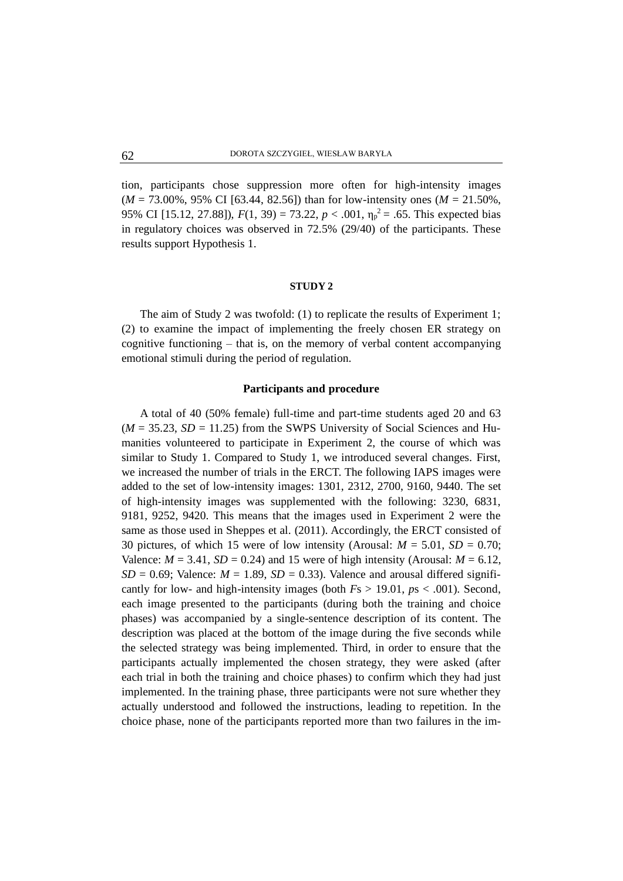tion, participants chose suppression more often for high-intensity images (*M* = 73.00%, 95% CI [63.44, 82.56]) than for low-intensity ones (*M* = 21.50%, 95% CI [15.12, 27.88]),  $F(1, 39) = 73.22$ ,  $p < .001$ ,  $\eta_p^2 = .65$ . This expected bias in regulatory choices was observed in 72.5% (29/40) of the participants. These results support Hypothesis 1.

#### **STUDY 2**

The aim of Study 2 was twofold: (1) to replicate the results of Experiment 1; (2) to examine the impact of implementing the freely chosen ER strategy on cognitive functioning  $-$  that is, on the memory of verbal content accompanying emotional stimuli during the period of regulation.

## **Participants and procedure**

A total of 40 (50% female) full-time and part-time students aged 20 and 63  $(M = 35.23, SD = 11.25)$  from the SWPS University of Social Sciences and Humanities volunteered to participate in Experiment 2, the course of which was similar to Study 1. Compared to Study 1, we introduced several changes. First, we increased the number of trials in the ERCT. The following IAPS images were added to the set of low-intensity images: 1301, 2312, 2700, 9160, 9440. The set of high-intensity images was supplemented with the following: 3230, 6831, 9181, 9252, 9420. This means that the images used in Experiment 2 were the same as those used in Sheppes et al. (2011). Accordingly, the ERCT consisted of 30 pictures, of which 15 were of low intensity (Arousal:  $M = 5.01$ ,  $SD = 0.70$ ; Valence:  $M = 3.41$ ,  $SD = 0.24$ ) and 15 were of high intensity (Arousal:  $M = 6.12$ ,  $SD = 0.69$ ; Valence:  $M = 1.89$ ,  $SD = 0.33$ ). Valence and arousal differed significantly for low- and high-intensity images (both *F*s > 19.01, *p*s < .001). Second, each image presented to the participants (during both the training and choice phases) was accompanied by a single-sentence description of its content. The description was placed at the bottom of the image during the five seconds while the selected strategy was being implemented. Third, in order to ensure that the participants actually implemented the chosen strategy, they were asked (after each trial in both the training and choice phases) to confirm which they had just implemented. In the training phase, three participants were not sure whether they actually understood and followed the instructions, leading to repetition. In the choice phase, none of the participants reported more than two failures in the im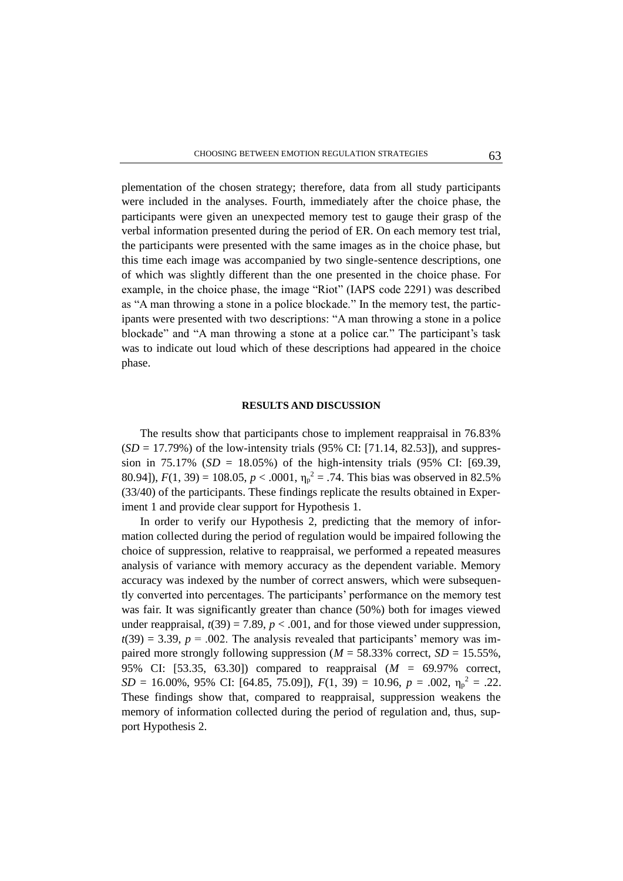plementation of the chosen strategy; therefore, data from all study participants were included in the analyses. Fourth, immediately after the choice phase, the participants were given an unexpected memory test to gauge their grasp of the verbal information presented during the period of ER. On each memory test trial, the participants were presented with the same images as in the choice phase, but this time each image was accompanied by two single-sentence descriptions, one of which was slightly different than the one presented in the choice phase. For example, in the choice phase, the image "Riot" (IAPS code 2291) was described as "A man throwing a stone in a police blockade." In the memory test, the participants were presented with two descriptions: "A man throwing a stone in a police blockade" and "A man throwing a stone at a police car." The participant's task was to indicate out loud which of these descriptions had appeared in the choice phase.

## **RESULTS AND DISCUSSION**

The results show that participants chose to implement reappraisal in 76.83%  $(SD = 17.79\%)$  of the low-intensity trials (95% CI: [71.14, 82.53]), and suppression in 75.17% ( $SD = 18.05\%$ ) of the high-intensity trials (95% CI: [69.39, 80.94]),  $F(1, 39) = 108.05$ ,  $p < .0001$ ,  $\eta_p^2 = .74$ . This bias was observed in 82.5% (33/40) of the participants. These findings replicate the results obtained in Experiment 1 and provide clear support for Hypothesis 1.

In order to verify our Hypothesis 2, predicting that the memory of information collected during the period of regulation would be impaired following the choice of suppression, relative to reappraisal, we performed a repeated measures analysis of variance with memory accuracy as the dependent variable. Memory accuracy was indexed by the number of correct answers, which were subsequently converted into percentages. The participants' performance on the memory test was fair. It was significantly greater than chance (50%) both for images viewed under reappraisal,  $t(39) = 7.89$ ,  $p < .001$ , and for those viewed under suppression,  $t(39) = 3.39$ ,  $p = .002$ . The analysis revealed that participants' memory was impaired more strongly following suppression ( $M = 58.33\%$  correct,  $SD = 15.55\%$ , 95% CI: [53.35, 63.30]) compared to reappraisal (*M =* 69.97% correct, *SD* = 16.00%, 95% CI: [64.85, 75.09]),  $F(1, 39) = 10.96$ ,  $p = .002$ ,  $\eta_p^2 = .22$ . These findings show that, compared to reappraisal, suppression weakens the memory of information collected during the period of regulation and, thus, support Hypothesis 2.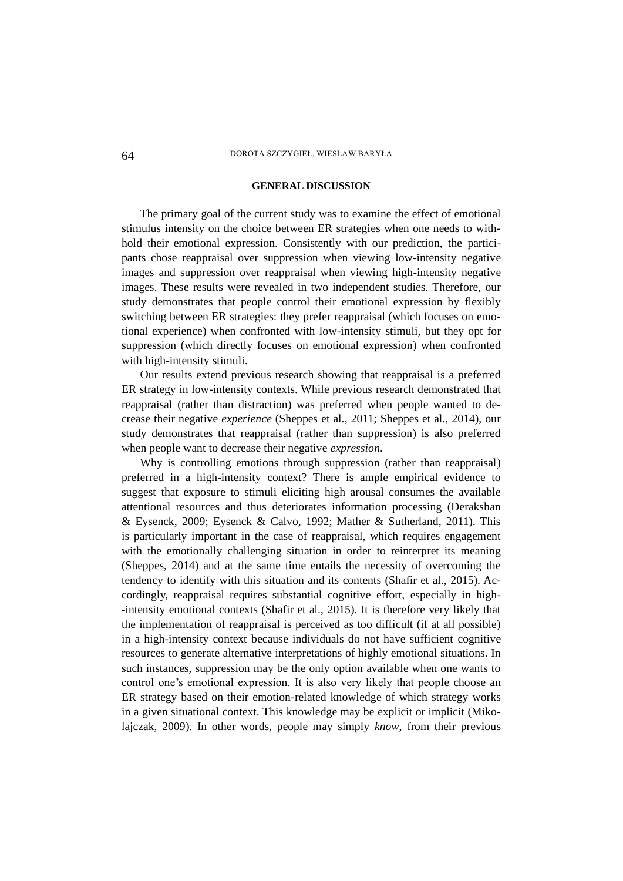#### **GENERAL DISCUSSION**

The primary goal of the current study was to examine the effect of emotional stimulus intensity on the choice between ER strategies when one needs to withhold their emotional expression. Consistently with our prediction, the participants chose reappraisal over suppression when viewing low-intensity negative images and suppression over reappraisal when viewing high-intensity negative images. These results were revealed in two independent studies. Therefore, our study demonstrates that people control their emotional expression by flexibly switching between ER strategies: they prefer reappraisal (which focuses on emotional experience) when confronted with low-intensity stimuli, but they opt for suppression (which directly focuses on emotional expression) when confronted with high-intensity stimuli.

Our results extend previous research showing that reappraisal is a preferred ER strategy in low-intensity contexts. While previous research demonstrated that reappraisal (rather than distraction) was preferred when people wanted to decrease their negative *experience* (Sheppes et al., 2011; Sheppes et al., 2014), our study demonstrates that reappraisal (rather than suppression) is also preferred when people want to decrease their negative *expression*.

Why is controlling emotions through suppression (rather than reappraisal) preferred in a high-intensity context? There is ample empirical evidence to suggest that exposure to stimuli eliciting high arousal consumes the available attentional resources and thus deteriorates information processing (Derakshan & Eysenck, 2009; Eysenck & Calvo, 1992; Mather & Sutherland, 2011). This is particularly important in the case of reappraisal, which requires engagement with the emotionally challenging situation in order to reinterpret its meaning (Sheppes, 2014) and at the same time entails the necessity of overcoming the tendency to identify with this situation and its contents (Shafir et al., 2015). Accordingly, reappraisal requires substantial cognitive effort, especially in high- -intensity emotional contexts (Shafir et al., 2015). It is therefore very likely that the implementation of reappraisal is perceived as too difficult (if at all possible) in a high-intensity context because individuals do not have sufficient cognitive resources to generate alternative interpretations of highly emotional situations. In such instances, suppression may be the only option available when one wants to control one's emotional expression. It is also very likely that people choose an ER strategy based on their emotion-related knowledge of which strategy works in a given situational context. This knowledge may be explicit or implicit (Mikolajczak, 2009). In other words, people may simply *know*, from their previous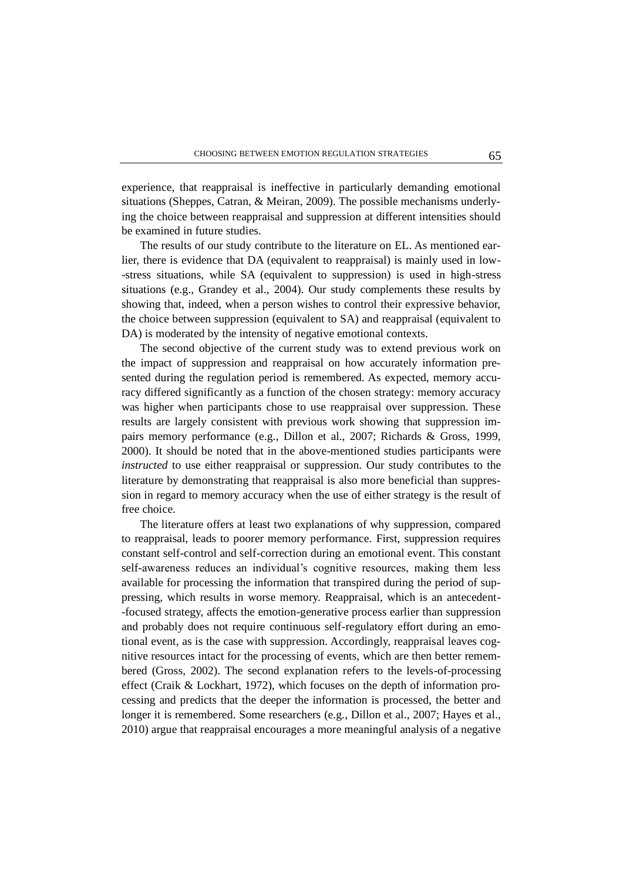experience, that reappraisal is ineffective in particularly demanding emotional situations (Sheppes, Catran, & Meiran, 2009). The possible mechanisms underlying the choice between reappraisal and suppression at different intensities should be examined in future studies.

The results of our study contribute to the literature on EL. As mentioned earlier, there is evidence that DA (equivalent to reappraisal) is mainly used in low- -stress situations, while SA (equivalent to suppression) is used in high-stress situations (e.g., Grandey et al., 2004). Our study complements these results by showing that, indeed, when a person wishes to control their expressive behavior, the choice between suppression (equivalent to SA) and reappraisal (equivalent to DA) is moderated by the intensity of negative emotional contexts.

The second objective of the current study was to extend previous work on the impact of suppression and reappraisal on how accurately information presented during the regulation period is remembered. As expected, memory accuracy differed significantly as a function of the chosen strategy: memory accuracy was higher when participants chose to use reappraisal over suppression. These results are largely consistent with previous work showing that suppression impairs memory performance (e.g., Dillon et al., 2007; Richards & Gross, 1999, 2000). It should be noted that in the above-mentioned studies participants were *instructed* to use either reappraisal or suppression. Our study contributes to the literature by demonstrating that reappraisal is also more beneficial than suppression in regard to memory accuracy when the use of either strategy is the result of free choice.

The literature offers at least two explanations of why suppression, compared to reappraisal, leads to poorer memory performance. First, suppression requires constant self-control and self-correction during an emotional event. This constant self-awareness reduces an individual's cognitive resources, making them less available for processing the information that transpired during the period of suppressing, which results in worse memory. Reappraisal, which is an antecedent- -focused strategy, affects the emotion-generative process earlier than suppression and probably does not require continuous self-regulatory effort during an emotional event, as is the case with suppression. Accordingly, reappraisal leaves cognitive resources intact for the processing of events, which are then better remembered (Gross, 2002). The second explanation refers to the levels-of-processing effect (Craik & Lockhart, 1972), which focuses on the depth of information processing and predicts that the deeper the information is processed, the better and longer it is remembered. Some researchers (e.g., Dillon et al., 2007; Hayes et al., 2010) argue that reappraisal encourages a more meaningful analysis of a negative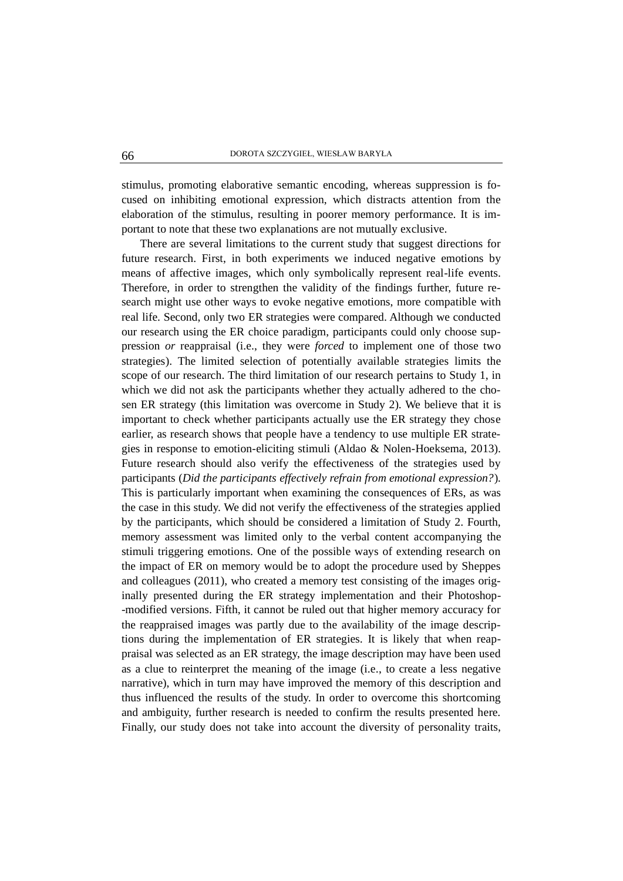stimulus, promoting elaborative semantic encoding, whereas suppression is focused on inhibiting emotional expression, which distracts attention from the elaboration of the stimulus, resulting in poorer memory performance. It is important to note that these two explanations are not mutually exclusive.

There are several limitations to the current study that suggest directions for future research. First, in both experiments we induced negative emotions by means of affective images, which only symbolically represent real-life events. Therefore, in order to strengthen the validity of the findings further, future research might use other ways to evoke negative emotions, more compatible with real life. Second, only two ER strategies were compared. Although we conducted our research using the ER choice paradigm, participants could only choose suppression *or* reappraisal (i.e., they were *forced* to implement one of those two strategies). The limited selection of potentially available strategies limits the scope of our research. The third limitation of our research pertains to Study 1, in which we did not ask the participants whether they actually adhered to the chosen ER strategy (this limitation was overcome in Study 2). We believe that it is important to check whether participants actually use the ER strategy they chose earlier, as research shows that people have a tendency to use multiple ER strategies in response to emotion-eliciting stimuli (Aldao & Nolen-Hoeksema, 2013). Future research should also verify the effectiveness of the strategies used by participants (*Did the participants effectively refrain from emotional expression?*)*.* This is particularly important when examining the consequences of ERs, as was the case in this study. We did not verify the effectiveness of the strategies applied by the participants, which should be considered a limitation of Study 2. Fourth, memory assessment was limited only to the verbal content accompanying the stimuli triggering emotions. One of the possible ways of extending research on the impact of ER on memory would be to adopt the procedure used by Sheppes and colleagues (2011), who created a memory test consisting of the images originally presented during the ER strategy implementation and their Photoshop- -modified versions. Fifth, it cannot be ruled out that higher memory accuracy for the reappraised images was partly due to the availability of the image descriptions during the implementation of ER strategies. It is likely that when reappraisal was selected as an ER strategy, the image description may have been used as a clue to reinterpret the meaning of the image (i.e., to create a less negative narrative), which in turn may have improved the memory of this description and thus influenced the results of the study. In order to overcome this shortcoming and ambiguity, further research is needed to confirm the results presented here. Finally, our study does not take into account the diversity of personality traits,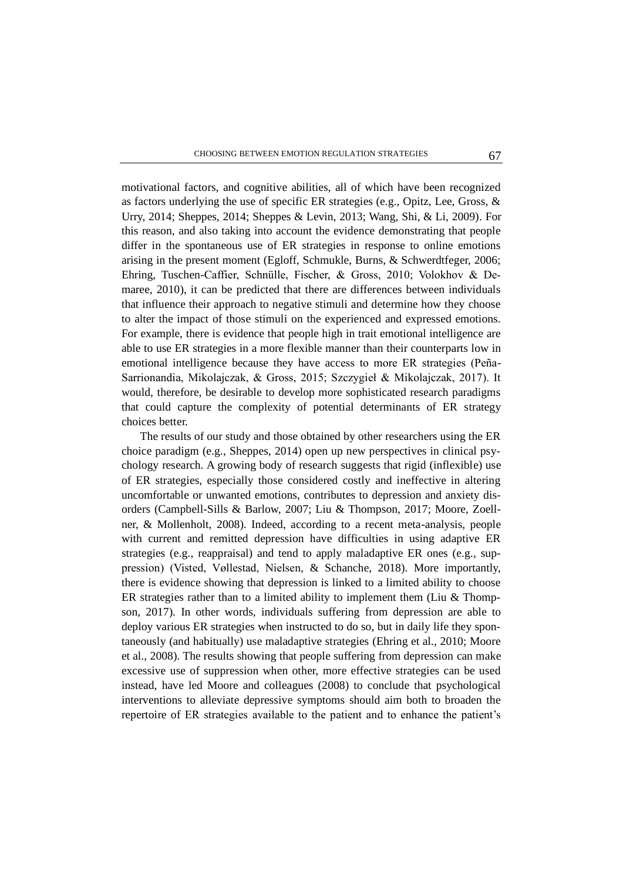motivational factors, and cognitive abilities, all of which have been recognized as factors underlying the use of specific ER strategies (e.g., Opitz, Lee, Gross, & Urry, 2014; Sheppes, 2014; Sheppes & Levin, 2013; Wang, Shi, & Li, 2009). For this reason, and also taking into account the evidence demonstrating that people differ in the spontaneous use of ER strategies in response to online emotions arising in the present moment (Egloff, Schmukle, Burns, & Schwerdtfeger, 2006; Ehring, Tuschen-Caffier, Schnülle, Fischer, & Gross, 2010; Volokhov & Demaree, 2010), it can be predicted that there are differences between individuals that influence their approach to negative stimuli and determine how they choose to alter the impact of those stimuli on the experienced and expressed emotions. For example, there is evidence that people high in trait emotional intelligence are able to use ER strategies in a more flexible manner than their counterparts low in emotional intelligence because they have access to more ER strategies (Peña-Sarrionandia, Mikolajczak, & Gross, 2015; Szczygieł & Mikolajczak, 2017). It would, therefore, be desirable to develop more sophisticated research paradigms that could capture the complexity of potential determinants of ER strategy choices better.

The results of our study and those obtained by other researchers using the ER choice paradigm (e.g., Sheppes, 2014) open up new perspectives in clinical psychology research. A growing body of research suggests that rigid (inflexible) use of ER strategies, especially those considered costly and ineffective in altering uncomfortable or unwanted emotions, contributes to depression and anxiety disorders (Campbell-Sills & Barlow, 2007; Liu & Thompson, 2017; Moore, Zoellner, & Mollenholt, 2008). Indeed, according to a recent meta-analysis, people with current and remitted depression have difficulties in using adaptive ER strategies (e.g., reappraisal) and tend to apply maladaptive ER ones (e.g., suppression) (Visted, Vøllestad, Nielsen, & Schanche, 2018). More importantly, there is evidence showing that depression is linked to a limited ability to choose ER strategies rather than to a limited ability to implement them (Liu & Thompson, 2017). In other words, individuals suffering from depression are able to deploy various ER strategies when instructed to do so, but in daily life they spontaneously (and habitually) use maladaptive strategies (Ehring et al., 2010; Moore et al., 2008). The results showing that people suffering from depression can make excessive use of suppression when other, more effective strategies can be used instead, have led Moore and colleagues (2008) to conclude that psychological interventions to alleviate depressive symptoms should aim both to broaden the repertoire of ER strategies available to the patient and to enhance the patient's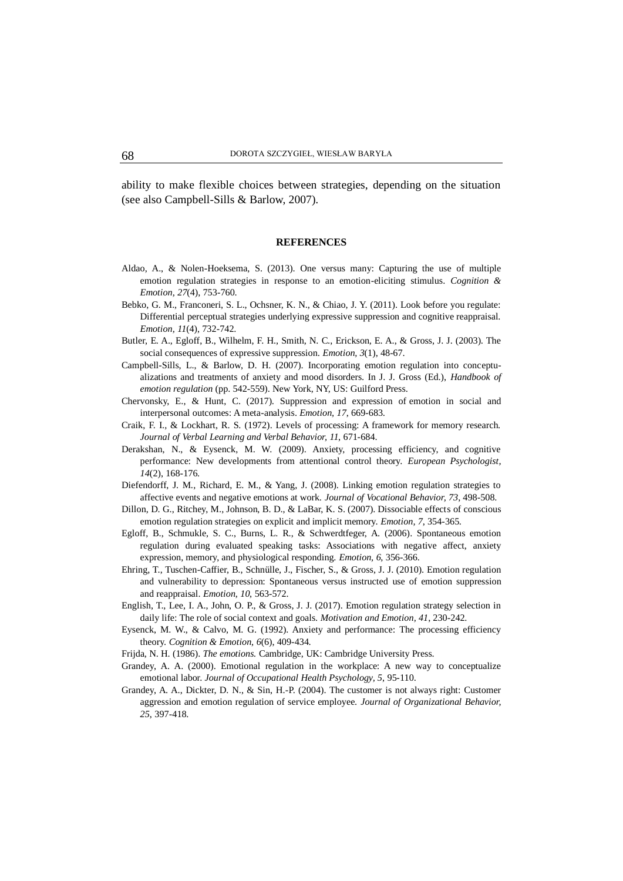ability to make flexible choices between strategies, depending on the situation (see also Campbell-Sills & Barlow, 2007).

#### **REFERENCES**

- Aldao, A., & Nolen-Hoeksema, S. (2013). One versus many: Capturing the use of multiple emotion regulation strategies in response to an emotion-eliciting stimulus. *Cognition & Emotion, 27*(4), 753-760.
- Bebko, G. M., Franconeri, S. L., Ochsner, K. N., & Chiao, J. Y. (2011). Look before you regulate: Differential perceptual strategies underlying expressive suppression and cognitive reappraisal. *Emotion, 11*(4), 732-742.
- Butler, E. A., Egloff, B., Wilhelm, F. H., Smith, N. C., Erickson, E. A., & Gross, J. J. (2003). The social consequences of expressive suppression. *Emotion, 3*(1), 48-67.
- Campbell-Sills, L., & Barlow, D. H. (2007). Incorporating emotion regulation into conceptualizations and treatments of anxiety and mood disorders. In J. J. Gross (Ed.), *Handbook of emotion regulation* (pp. 542-559). New York, NY, US: Guilford Press.
- Chervonsky, E., & Hunt, C. (2017). Suppression and expression of emotion in social and interpersonal outcomes: A meta-analysis. *Emotion, 17*, 669-683.
- Craik, F. I., & Lockhart, R. S. (1972). Levels of processing: A framework for memory research. *Journal of Verbal Learning and Verbal Behavior, 11*, 671-684.
- Derakshan, N., & Eysenck, M. W. (2009). Anxiety, processing efficiency, and cognitive performance: New developments from attentional control theory. *European Psychologist, 14*(2), 168-176.
- Diefendorff, J. M., Richard, E. M., & Yang, J. (2008). Linking emotion regulation strategies to affective events and negative emotions at work. *Journal of Vocational Behavior, 73*, 498-508.
- Dillon, D. G., Ritchey, M., Johnson, B. D., & LaBar, K. S. (2007). Dissociable effects of conscious emotion regulation strategies on explicit and implicit memory. *Emotion, 7*, 354-365.
- Egloff, B., Schmukle, S. C., Burns, L. R., & Schwerdtfeger, A. (2006). Spontaneous emotion regulation during evaluated speaking tasks: Associations with negative affect, anxiety expression, memory, and physiological responding. *Emotion, 6*, 356-366.
- Ehring, T., Tuschen-Caffier, B., Schnülle, J., Fischer, S., & Gross, J. J. (2010). Emotion regulation and vulnerability to depression: Spontaneous versus instructed use of emotion suppression and reappraisal. *Emotion, 10*, 563-572.
- English, T., Lee, I. A., John, O. P., & Gross, J. J. (2017). Emotion regulation strategy selection in daily life: The role of social context and goals. *Motivation and Emotion, 41*, 230-242.
- Eysenck, M. W., & Calvo, M. G. (1992). Anxiety and performance: The processing efficiency theory. *Cognition & Emotion, 6*(6), 409-434.
- Frijda, N. H. (1986). *The emotions.* Cambridge, UK: Cambridge University Press.
- Grandey, A. A. (2000). Emotional regulation in the workplace: A new way to conceptualize emotional labor. *Journal of Occupational Health Psychology, 5*, 95-110.
- Grandey, A. A., Dickter, D. N., & Sin, H.-P. (2004). The customer is not always right: Customer aggression and emotion regulation of service employee. *Journal of Organizational Behavior, 25*, 397-418.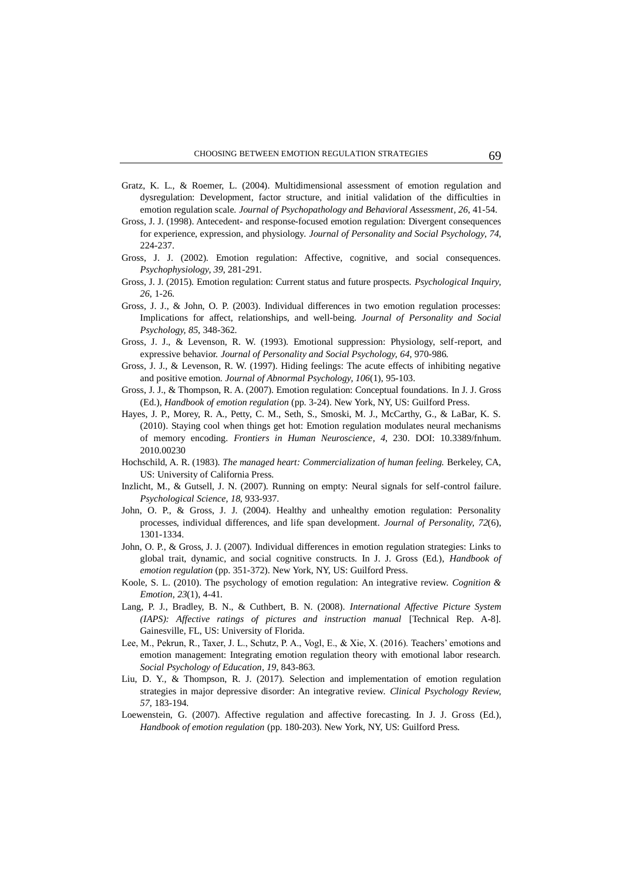- Gratz, K. L., & Roemer, L. (2004). Multidimensional assessment of emotion regulation and dysregulation: Development, factor structure, and initial validation of the difficulties in emotion regulation scale. *Journal of Psychopathology and Behavioral Assessment, 26*, 41-54.
- Gross, J. J. (1998). Antecedent- and response-focused emotion regulation: Divergent consequences for experience, expression, and physiology. *Journal of Personality and Social Psychology, 74*, 224-237.
- Gross, J. J. (2002). Emotion regulation: Affective, cognitive, and social consequences. *Psychophysiology, 39*, 281-291.
- Gross, J. J. (2015). Emotion regulation: Current status and future prospects. *Psychological Inquiry, 26*, 1-26.
- Gross, J. J., & John, O. P. (2003). Individual differences in two emotion regulation processes: Implications for affect, relationships, and well-being. *Journal of Personality and Social Psychology, 85*, 348-362.
- Gross, J. J., & Levenson, R. W. (1993). Emotional suppression: Physiology, self-report, and expressive behavior. *Journal of Personality and Social Psychology, 64*, 970-986.
- Gross, J. J., & Levenson, R. W. (1997). Hiding feelings: The acute effects of inhibiting negative and positive emotion. *Journal of Abnormal Psychology, 106*(1), 95-103.
- Gross, J. J., & Thompson, R. A. (2007). Emotion regulation: Conceptual foundations. In J. J. Gross (Ed.), *Handbook of emotion regulation* (pp. 3-24). New York, NY, US: Guilford Press.
- Hayes, J. P., Morey, R. A., Petty, C. M., Seth, S., Smoski, M. J., McCarthy, G., & LaBar, K. S. (2010). Staying cool when things get hot: Emotion regulation modulates neural mechanisms of memory encoding. *Frontiers in Human Neuroscience, 4*, 230. DOI: 10.3389/fnhum. 2010.00230
- Hochschild, A. R. (1983). *The managed heart: Commercialization of human feeling.* Berkeley, CA, US: University of California Press.
- Inzlicht, M., & Gutsell, J. N. (2007). Running on empty: Neural signals for self-control failure. *Psychological Science, 18*, 933-937.
- John, O. P., & Gross, J. J. (2004). Healthy and unhealthy emotion regulation: Personality processes, individual differences, and life span development. *Journal of Personality, 72*(6), 1301-1334.
- John, O. P., & Gross, J. J. (2007). Individual differences in emotion regulation strategies: Links to global trait, dynamic, and social cognitive constructs. In J. J. Gross (Ed.), *Handbook of emotion regulation* (pp. 351-372). New York, NY, US: Guilford Press.
- Koole, S. L. (2010). The psychology of emotion regulation: An integrative review. *Cognition & Emotion, 23*(1), 4-41.
- Lang, P. J., Bradley, B. N., & Cuthbert, B. N. (2008). *International Affective Picture System (IAPS): Affective ratings of pictures and instruction manual* [Technical Rep. A-8]. Gainesville, FL, US: University of Florida.
- Lee, M., Pekrun, R., Taxer, J. L., Schutz, P. A., Vogl, E., & Xie, X. (2016). Teachers' emotions and emotion management: Integrating emotion regulation theory with emotional labor research. *Social Psychology of Education, 19*, 843-863.
- Liu, D. Y., & Thompson, R. J. (2017). Selection and implementation of emotion regulation strategies in major depressive disorder: An integrative review. *Clinical Psychology Review, 57*, 183-194.
- Loewenstein, G. (2007). Affective regulation and affective forecasting. In J. J. Gross (Ed.), *Handbook of emotion regulation* (pp. 180-203). New York, NY, US: Guilford Press.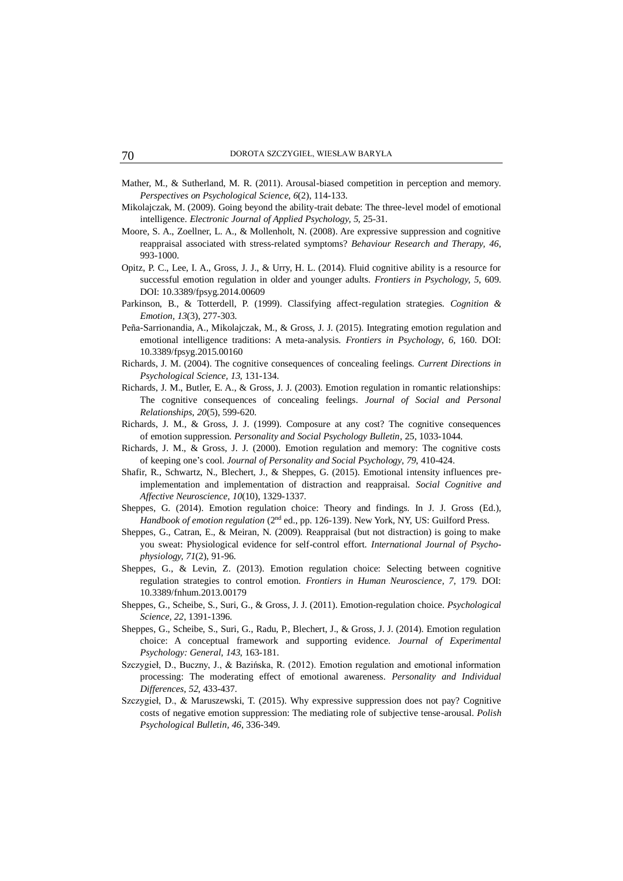- Mather, M., & Sutherland, M. R. (2011). Arousal-biased competition in perception and memory. *Perspectives on Psychological Science, 6*(2), 114-133.
- Mikolajczak, M. (2009). Going beyond the ability-trait debate: The three-level model of emotional intelligence. *Electronic Journal of Applied Psychology, 5*, 25-31.
- Moore, S. A., Zoellner, L. A., & Mollenholt, N. (2008). Are expressive suppression and cognitive reappraisal associated with stress-related symptoms? *Behaviour Research and Therapy, 46*, 993-1000.
- Opitz, P. C., Lee, I. A., Gross, J. J., & Urry, H. L. (2014). Fluid cognitive ability is a resource for successful emotion regulation in older and younger adults. *Frontiers in Psychology, 5*, 609. DOI: 10.3389/fpsyg.2014.00609
- Parkinson, B., & Totterdell, P. (1999). Classifying affect-regulation strategies. *Cognition & Emotion, 13*(3), 277-303.
- Peña-Sarrionandia, A., Mikolajczak, M., & Gross, J. J. (2015). Integrating emotion regulation and emotional intelligence traditions: A meta-analysis. *Frontiers in Psychology, 6*, 160. DOI: 10.3389/fpsyg.2015.00160
- Richards, J. M. (2004). The cognitive consequences of concealing feelings. *Current Directions in Psychological Science, 13*, 131-134.
- Richards, J. M., Butler, E. A., & Gross, J. J. (2003). Emotion regulation in romantic relationships: The cognitive consequences of concealing feelings. *Journal of Social and Personal Relationships, 20*(5), 599-620.
- Richards, J. M., & Gross, J. J. (1999). Composure at any cost? The cognitive consequences of emotion suppression. *Personality and Social Psychology Bulletin,* 25, 1033-1044.
- Richards, J. M., & Gross, J. J. (2000). Emotion regulation and memory: The cognitive costs of keeping one's cool. *Journal of Personality and Social Psychology, 79*, 410-424.
- Shafir, R., Schwartz, N., Blechert, J., & Sheppes, G. (2015). Emotional intensity influences preimplementation and implementation of distraction and reappraisal. *Social Cognitive and Affective Neuroscience, 10*(10), 1329-1337.
- Sheppes, G. (2014). Emotion regulation choice: Theory and findings. In J. J. Gross (Ed.), *Handbook of emotion regulation* (2<sup>nd</sup> ed., pp. 126-139). New York, NY, US: Guilford Press.
- Sheppes, G., Catran, E., & Meiran, N. (2009). Reappraisal (but not distraction) is going to make you sweat: Physiological evidence for self-control effort. *International Journal of Psychophysiology, 71*(2), 91-96.
- Sheppes, G., & Levin, Z. (2013). Emotion regulation choice: Selecting between cognitive regulation strategies to control emotion. *Frontiers in Human Neuroscience, 7*, 179. DOI: 10.3389/fnhum.2013.00179
- Sheppes, G., Scheibe, S., Suri, G., & Gross, J. J. (2011). Emotion-regulation choice. *Psychological Science, 22*, 1391-1396.
- Sheppes, G., Scheibe, S., Suri, G., Radu, P., Blechert, J., & Gross, J. J. (2014). Emotion regulation choice: A conceptual framework and supporting evidence. *Journal of Experimental Psychology: General, 143*, 163-181.
- Szczygieł, D., Buczny, J., & Bazińska, R. (2012). Emotion regulation and emotional information processing: The moderating effect of emotional awareness. *Personality and Individual Differences, 52*, 433-437.
- Szczygieł, D., & Maruszewski, T. (2015). Why expressive suppression does not pay? Cognitive costs of negative emotion suppression: The mediating role of subjective tense-arousal. *Polish Psychological Bulletin, 46*, 336-349.